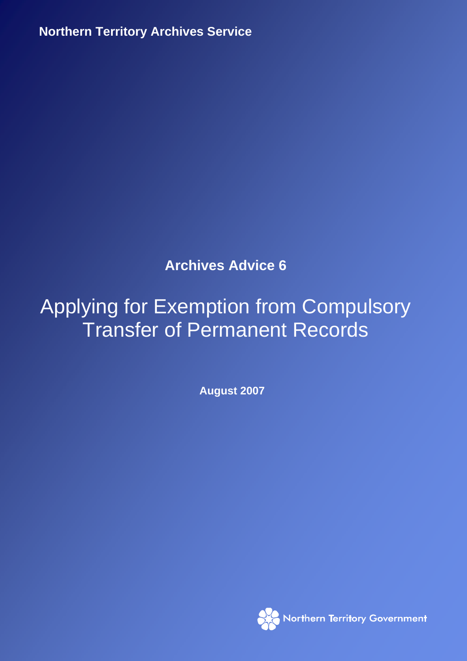**Northern Territory Archives Service**

**Archives Advice 6** 

# Applying for Exemption from Compulsory Transfer of Permanent Records

**August 2007** 

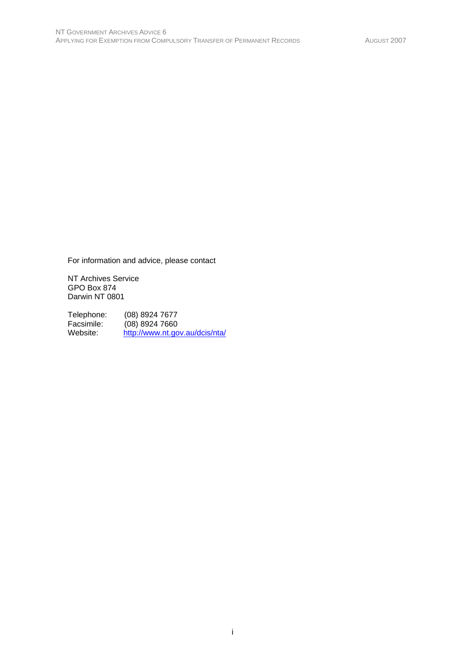For information and advice, please contact

NT Archives Service GPO Box 874 Darwin NT 0801

Telephone: (08) 8924 7677<br>Facsimile: (08) 8924 7660 Facsimile: (08) 8924 7660<br>Website: http://www.nt.go http://www.nt.gov.au/dcis/nta/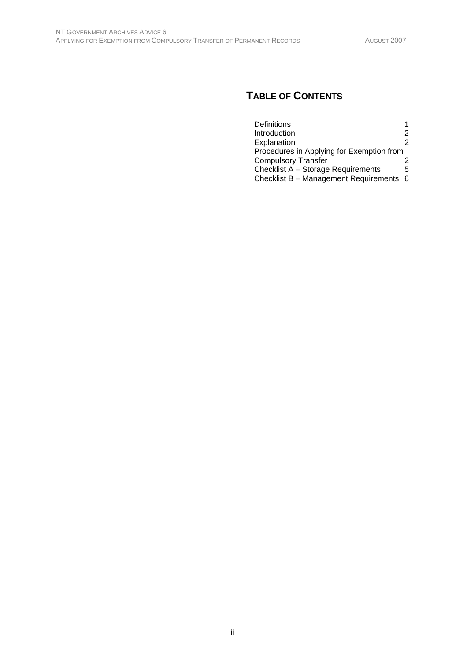# **TABLE OF CONTENTS**

| Definitions                               |    |
|-------------------------------------------|----|
| Introduction                              | 2  |
| Explanation                               | 2  |
| Procedures in Applying for Exemption from |    |
| <b>Compulsory Transfer</b>                |    |
| Checklist A - Storage Requirements        | 5  |
| Checklist B - Management Requirements     | -6 |
|                                           |    |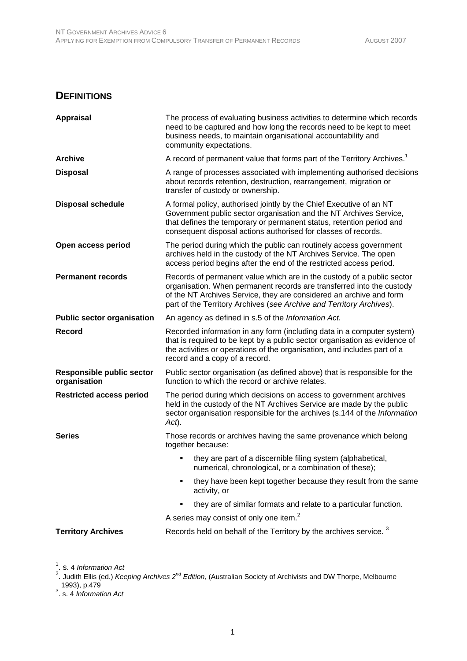#### **DEFINITIONS**

| <b>Appraisal</b>                                 | The process of evaluating business activities to determine which records<br>need to be captured and how long the records need to be kept to meet<br>business needs, to maintain organisational accountability and<br>community expectations.                                                   |
|--------------------------------------------------|------------------------------------------------------------------------------------------------------------------------------------------------------------------------------------------------------------------------------------------------------------------------------------------------|
| <b>Archive</b>                                   | A record of permanent value that forms part of the Territory Archives. <sup>1</sup>                                                                                                                                                                                                            |
| <b>Disposal</b>                                  | A range of processes associated with implementing authorised decisions<br>about records retention, destruction, rearrangement, migration or<br>transfer of custody or ownership.                                                                                                               |
| <b>Disposal schedule</b>                         | A formal policy, authorised jointly by the Chief Executive of an NT<br>Government public sector organisation and the NT Archives Service,<br>that defines the temporary or permanent status, retention period and<br>consequent disposal actions authorised for classes of records.            |
| Open access period                               | The period during which the public can routinely access government<br>archives held in the custody of the NT Archives Service. The open<br>access period begins after the end of the restricted access period.                                                                                 |
| <b>Permanent records</b>                         | Records of permanent value which are in the custody of a public sector<br>organisation. When permanent records are transferred into the custody<br>of the NT Archives Service, they are considered an archive and form<br>part of the Territory Archives (see Archive and Territory Archives). |
| <b>Public sector organisation</b>                | An agency as defined in s.5 of the Information Act.                                                                                                                                                                                                                                            |
| <b>Record</b>                                    | Recorded information in any form (including data in a computer system)<br>that is required to be kept by a public sector organisation as evidence of<br>the activities or operations of the organisation, and includes part of a<br>record and a copy of a record.                             |
| <b>Responsible public sector</b><br>organisation | Public sector organisation (as defined above) that is responsible for the<br>function to which the record or archive relates.                                                                                                                                                                  |
| <b>Restricted access period</b>                  | The period during which decisions on access to government archives<br>held in the custody of the NT Archives Service are made by the public<br>sector organisation responsible for the archives (s.144 of the Information<br>$Act$ ).                                                          |
| <b>Series</b>                                    | Those records or archives having the same provenance which belong<br>together because:                                                                                                                                                                                                         |
|                                                  | they are part of a discernible filing system (alphabetical,<br>numerical, chronological, or a combination of these);                                                                                                                                                                           |
|                                                  | they have been kept together because they result from the same<br>activity, or                                                                                                                                                                                                                 |
|                                                  | they are of similar formats and relate to a particular function.                                                                                                                                                                                                                               |
|                                                  | A series may consist of only one item. <sup>2</sup>                                                                                                                                                                                                                                            |
| <b>Territory Archives</b>                        | Records held on behalf of the Territory by the archives service. <sup>3</sup>                                                                                                                                                                                                                  |

<sup>1</sup>. s. 4 *Information Act*<br><sup>2</sup>. Judith Ellis (ed.) *Keeping Archives 2<sup>nd</sup> Edition,* (Australian Society of Archivists and DW Thorpe, Melbourne 1993), p.479 3 . s. 4 *Information Act*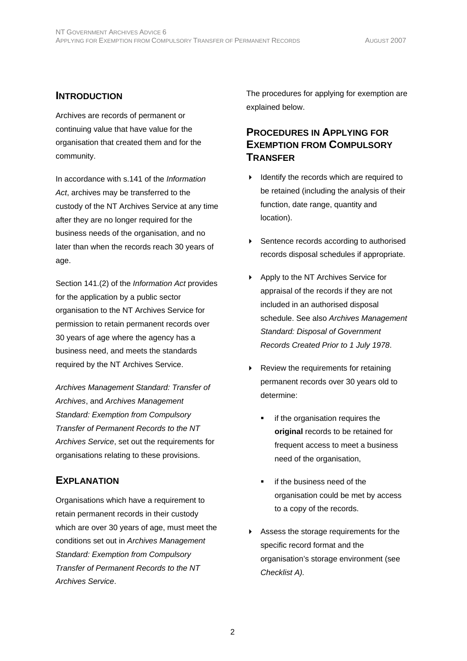#### **INTRODUCTION**

Archives are records of permanent or continuing value that have value for the organisation that created them and for the community.

In accordance with s.141 of the *Information Act*, archives may be transferred to the custody of the NT Archives Service at any time after they are no longer required for the business needs of the organisation, and no later than when the records reach 30 years of age.

Section 141.(2) of the *Information Act* provides for the application by a public sector organisation to the NT Archives Service for permission to retain permanent records over 30 years of age where the agency has a business need, and meets the standards required by the NT Archives Service.

*Archives Management Standard: Transfer of Archives*, and *Archives Management Standard: Exemption from Compulsory Transfer of Permanent Records to the NT Archives Service*, set out the requirements for organisations relating to these provisions.

#### **EXPLANATION**

Organisations which have a requirement to retain permanent records in their custody which are over 30 years of age, must meet the conditions set out in *Archives Management Standard: Exemption from Compulsory Transfer of Permanent Records to the NT Archives Service*.

The procedures for applying for exemption are explained below.

#### **PROCEDURES IN APPLYING FOR EXEMPTION FROM COMPULSORY TRANSFER**

- $\blacktriangleright$  Identify the records which are required to be retained (including the analysis of their function, date range, quantity and location).
- ▶ Sentence records according to authorised records disposal schedules if appropriate.
- ▶ Apply to the NT Archives Service for appraisal of the records if they are not included in an authorised disposal schedule. See also *Archives Management Standard: Disposal of Government Records Created Prior to 1 July 1978*.
- Review the requirements for retaining permanent records over 30 years old to determine:
	- if the organisation requires the **original** records to be retained for frequent access to meet a business need of the organisation,
	- if the business need of the organisation could be met by access to a copy of the records.
- Assess the storage requirements for the specific record format and the organisation's storage environment (see *Checklist A).*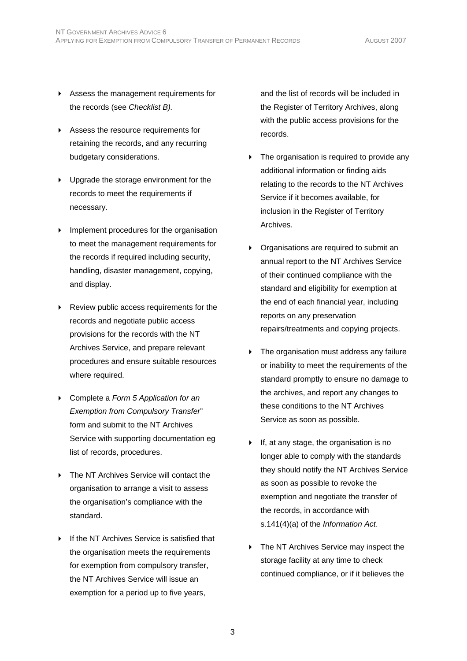- Assess the management requirements for the records (see *Checklist B).*
- Assess the resource requirements for retaining the records, and any recurring budgetary considerations.
- Upgrade the storage environment for the records to meet the requirements if necessary.
- **Implement procedures for the organisation** to meet the management requirements for the records if required including security, handling, disaster management, copying, and display.
- Review public access requirements for the records and negotiate public access provisions for the records with the NT Archives Service, and prepare relevant procedures and ensure suitable resources where required.
- Complete a *Form 5 Application for an Exemption from Compulsory Transfer*" form and submit to the NT Archives Service with supporting documentation eg list of records, procedures.
- ▶ The NT Archives Service will contact the organisation to arrange a visit to assess the organisation's compliance with the standard.
- If the NT Archives Service is satisfied that the organisation meets the requirements for exemption from compulsory transfer, the NT Archives Service will issue an exemption for a period up to five years,

and the list of records will be included in the Register of Territory Archives, along with the public access provisions for the records.

- The organisation is required to provide any additional information or finding aids relating to the records to the NT Archives Service if it becomes available, for inclusion in the Register of Territory Archives.
- **Demonment Communish** Organisations are required to submit an annual report to the NT Archives Service of their continued compliance with the standard and eligibility for exemption at the end of each financial year, including reports on any preservation repairs/treatments and copying projects.
- **Fig.** The organisation must address any failure or inability to meet the requirements of the standard promptly to ensure no damage to the archives, and report any changes to these conditions to the NT Archives Service as soon as possible.
- $\triangleright$  If, at any stage, the organisation is no longer able to comply with the standards they should notify the NT Archives Service as soon as possible to revoke the exemption and negotiate the transfer of the records, in accordance with s.141(4)(a) of the *Information Act*.
- **FIM** The NT Archives Service may inspect the storage facility at any time to check continued compliance, or if it believes the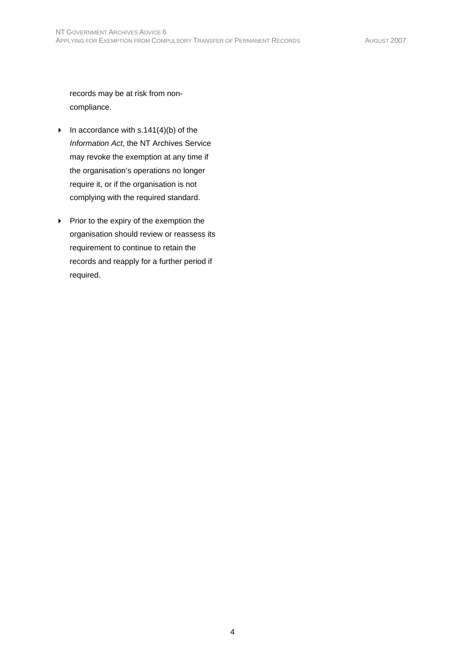records may be at risk from noncompliance.

- In accordance with s.141(4)(b) of the *Information Act*, the NT Archives Service may revoke the exemption at any time if the organisation's operations no longer require it, or if the organisation is not complying with the required standard.
- $\blacktriangleright$  Prior to the expiry of the exemption the organisation should review or reassess its requirement to continue to retain the records and reapply for a further period if required.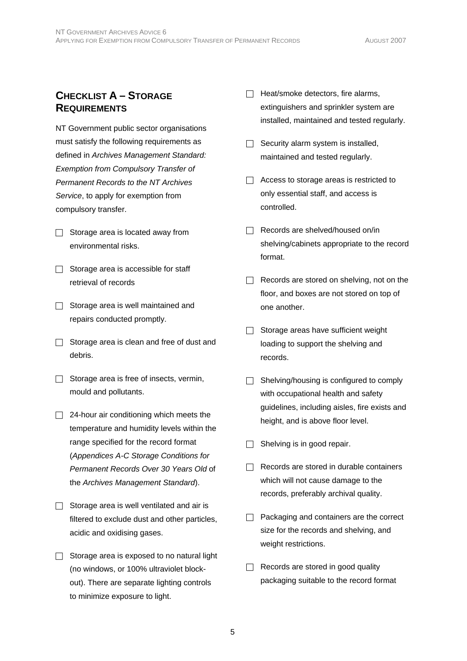## **CHECKLIST A – STORAGE REQUIREMENTS**

NT Government public sector organisations must satisfy the following requirements as defined in *Archives Management Standard: Exemption from Compulsory Transfer of Permanent Records to the NT Archives Service*, to apply for exemption from compulsory transfer.

- $\Box$  Storage area is located away from environmental risks.
- $\Box$  Storage area is accessible for staff retrieval of records
- $\Box$  Storage area is well maintained and repairs conducted promptly.
- $\Box$  Storage area is clean and free of dust and debris.
- $\Box$  Storage area is free of insects, vermin, mould and pollutants.
- $\Box$  24-hour air conditioning which meets the temperature and humidity levels within the range specified for the record format (*Appendices A-C Storage Conditions for Permanent Records Over 30 Years Old* of the *Archives Management Standard*).
- $\Box$  Storage area is well ventilated and air is filtered to exclude dust and other particles, acidic and oxidising gases.
- $\Box$  Storage area is exposed to no natural light (no windows, or 100% ultraviolet blockout). There are separate lighting controls to minimize exposure to light.
- $\Box$  Heat/smoke detectors, fire alarms, extinguishers and sprinkler system are installed, maintained and tested regularly.
- $\Box$  Security alarm system is installed, maintained and tested regularly.
- $\Box$  Access to storage areas is restricted to only essential staff, and access is controlled.
- $\Box$  Records are shelved/housed on/in shelving/cabinets appropriate to the record format.
- $\Box$  Records are stored on shelving, not on the floor, and boxes are not stored on top of one another.
- $\Box$  Storage areas have sufficient weight loading to support the shelving and records.
- $\Box$  Shelving/housing is configured to comply with occupational health and safety guidelines, including aisles, fire exists and height, and is above floor level.
- $\Box$  Shelving is in good repair.
- $\Box$  Records are stored in durable containers which will not cause damage to the records, preferably archival quality.
- $\Box$  Packaging and containers are the correct size for the records and shelving, and weight restrictions.
- $\Box$  Records are stored in good quality packaging suitable to the record format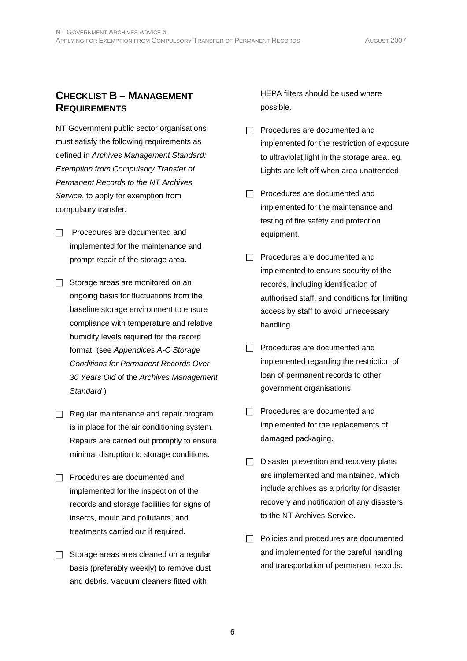## **CHECKLIST B – MANAGEMENT REQUIREMENTS**

NT Government public sector organisations must satisfy the following requirements as defined in *Archives Management Standard: Exemption from Compulsory Transfer of Permanent Records to the NT Archives Service*, to apply for exemption from compulsory transfer.

- $\Box$  Procedures are documented and implemented for the maintenance and prompt repair of the storage area.
- $\Box$  Storage areas are monitored on an ongoing basis for fluctuations from the baseline storage environment to ensure compliance with temperature and relative humidity levels required for the record format. (see *Appendices A-C Storage Conditions for Permanent Records Over 30 Years Old* of the *Archives Management Standard* )
- $\Box$  Regular maintenance and repair program is in place for the air conditioning system. Repairs are carried out promptly to ensure minimal disruption to storage conditions.
- $\Box$  Procedures are documented and implemented for the inspection of the records and storage facilities for signs of insects, mould and pollutants, and treatments carried out if required.
- $\Box$  Storage areas area cleaned on a regular basis (preferably weekly) to remove dust and debris. Vacuum cleaners fitted with

HEPA filters should be used where possible.

- $\Box$  Procedures are documented and implemented for the restriction of exposure to ultraviolet light in the storage area, eg. Lights are left off when area unattended.
- $\Box$  Procedures are documented and implemented for the maintenance and testing of fire safety and protection equipment.
- $\Box$  Procedures are documented and implemented to ensure security of the records, including identification of authorised staff, and conditions for limiting access by staff to avoid unnecessary handling.
- $\Box$  Procedures are documented and implemented regarding the restriction of loan of permanent records to other government organisations.
- $\Box$  Procedures are documented and implemented for the replacements of damaged packaging.
- $\Box$  Disaster prevention and recovery plans are implemented and maintained, which include archives as a priority for disaster recovery and notification of any disasters to the NT Archives Service.
- $\Box$  Policies and procedures are documented and implemented for the careful handling and transportation of permanent records.